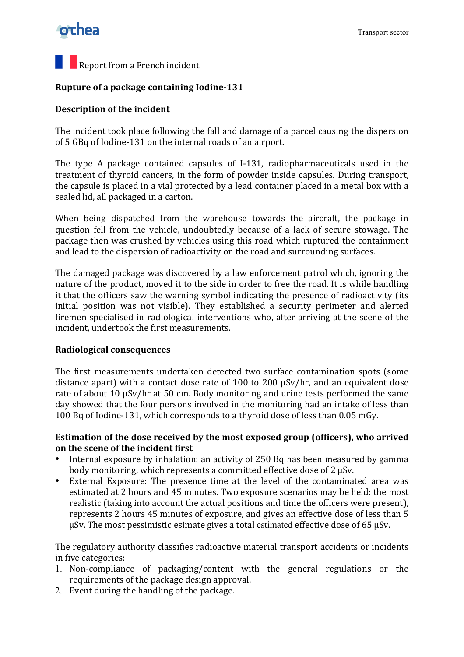### othea

## **Report from a French incident**

#### **Rupture of a package containing Iodine-131**

#### **Description of the incident**

The incident took place following the fall and damage of a parcel causing the dispersion of 5 GBq of Iodine-131 on the internal roads of an airport.

The type A package contained capsules of I-131, radiopharmaceuticals used in the treatment of thyroid cancers, in the form of powder inside capsules. During transport, the capsule is placed in a vial protected by a lead container placed in a metal box with a sealed lid, all packaged in a carton.

When being dispatched from the warehouse towards the aircraft, the package in question fell from the vehicle, undoubtedly because of a lack of secure stowage. The package then was crushed by vehicles using this road which ruptured the containment and lead to the dispersion of radioactivity on the road and surrounding surfaces.

The damaged package was discovered by a law enforcement patrol which, ignoring the nature of the product, moved it to the side in order to free the road. It is while handling it that the officers saw the warning symbol indicating the presence of radioactivity (its initial position was not visible). They established a security perimeter and alerted firemen specialised in radiological interventions who, after arriving at the scene of the incident, undertook the first measurements.

#### **Radiological!consequences**

The first measurements undertaken detected two surface contamination spots (some distance apart) with a contact dose rate of 100 to 200  $\mu$ Sv/hr, and an equivalent dose rate of about 10  $\mu$ Sv/hr at 50 cm. Body monitoring and urine tests performed the same day showed that the four persons involved in the monitoring had an intake of less than 100 Bq of Iodine-131, which corresponds to a thyroid dose of less than 0.05 mGy.

#### Estimation of the dose received by the most exposed group (officers), who arrived **on the scene of the incident first**

- Internal exposure by inhalation: an activity of 250 Bq has been measured by gamma body monitoring, which represents a committed effective dose of 2  $\mu$ Sv.
- External Exposure: The presence time at the level of the contaminated area was estimated at 2 hours and 45 minutes. Two exposure scenarios may be held: the most realistic (taking into account the actual positions and time the officers were present), represents 2 hours 45 minutes of exposure, and gives an effective dose of less than 5  $\mu$ Sv. The most pessimistic esimate gives a total estimated effective dose of 65  $\mu$ Sv.

The regulatory authority classifies radioactive material transport accidents or incidents in five categories:

- 1. Non-compliance of packaging/content with the general regulations or the requirements of the package design approval.
- 2. Event during the handling of the package.